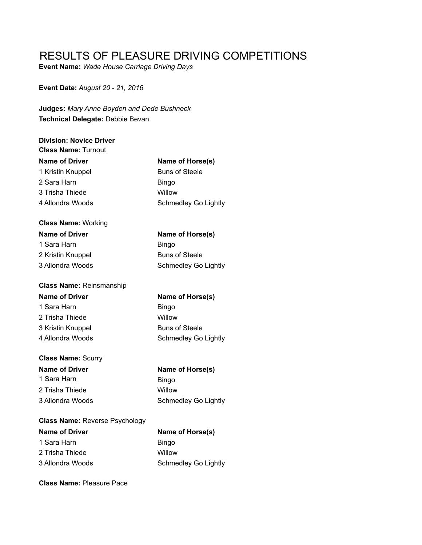## RESULTS OF PLEASURE DRIVING COMPETITIONS

**Event Name:** *Wade House Carriage Driving Days*

**Event Date:** *August 20 - 21, 2016*

**Judges:** *Mary Anne Boyden and Dede Bushneck* **Technical Delegate:** Debbie Bevan

| <b>Division: Novice Driver</b><br><b>Class Name: Turnout</b> |                             |
|--------------------------------------------------------------|-----------------------------|
| <b>Name of Driver</b>                                        | Name of Horse(s)            |
| 1 Kristin Knuppel                                            | <b>Buns of Steele</b>       |
| 2 Sara Harn                                                  | <b>Bingo</b>                |
| 3 Trisha Thiede                                              | Willow                      |
| 4 Allondra Woods                                             | <b>Schmedley Go Lightly</b> |
| <b>Class Name: Working</b>                                   |                             |
| <b>Name of Driver</b>                                        | Name of Horse(s)            |
| 1 Sara Harn                                                  | <b>Bingo</b>                |
| 2 Kristin Knuppel                                            | <b>Buns of Steele</b>       |
| 3 Allondra Woods                                             | <b>Schmedley Go Lightly</b> |
| <b>Class Name: Reinsmanship</b>                              |                             |
|                                                              |                             |
| <b>Name of Driver</b>                                        | Name of Horse(s)            |
| 1 Sara Harn                                                  | <b>Bingo</b>                |
| 2 Trisha Thiede                                              | Willow                      |
| 3 Kristin Knuppel                                            | <b>Buns of Steele</b>       |
| 4 Allondra Woods                                             | Schmedley Go Lightly        |
| <b>Class Name: Scurry</b>                                    |                             |
| <b>Name of Driver</b>                                        | Name of Horse(s)            |
| 1 Sara Harn                                                  | <b>Bingo</b>                |
| 2 Trisha Thiede                                              | Willow                      |
| 3 Allondra Woods                                             | <b>Schmedley Go Lightly</b> |
| <b>Class Name: Reverse Psychology</b>                        |                             |
| <b>Name of Driver</b>                                        | Name of Horse(s)            |

**Class Name:** Pleasure Pace

2 Trisha Thiede Willow

3 Allondra Woods Schmedley Go Lightly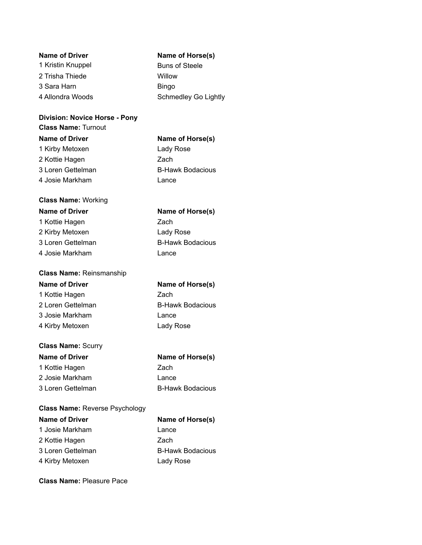| Name of Driver    | Name of Horse(s)      |
|-------------------|-----------------------|
| 1 Kristin Knuppel | <b>Buns of Steele</b> |
| 2 Trisha Thiede   | Willow                |
| 3 Sara Harn       | <b>Bingo</b>          |
| 4 Allondra Woods  | Schmedley Go Lightly  |
|                   |                       |

### **Division: Novice Horse - Pony**

**Class Name:** Turnout

**Name of Driver Name of Horse(s)** 1 Kirby Metoxen **Lady Rose** 2 Kottie Hagen Zach 3 Loren Gettelman B-Hawk Bodacious 4 Josie Markham Lance

### **Class Name:** Working **Name of Driver Name of Horse(s)**

1 Kottie Hagen Zach 2 Kirby Metoxen Lady Rose 3 Loren Gettelman B-Hawk Bodacious 4 Josie Markham Lance

|  | <b>Class Name: Reinsmanship</b> |
|--|---------------------------------|
|--|---------------------------------|

| <b>Name of Driver</b> | Name of Horse(s)        |
|-----------------------|-------------------------|
| 1 Kottie Hagen        | Zach                    |
| 2 Loren Gettelman     | <b>B-Hawk Bodacious</b> |
| 3 Josie Markham       | Lance                   |
| 4 Kirby Metoxen       | Lady Rose               |

### **Class Name:** Scurry

| <b>Name of Driver</b> | Name of Horse(s)        |
|-----------------------|-------------------------|
| 1 Kottie Hagen        | Zach                    |
| 2 Josie Markham       | Lance                   |
| 3 Loren Gettelman     | <b>B-Hawk Bodacious</b> |

### **Class Name:** Reverse Psychology

| <b>Name of Driver</b> | Name of Horse(s)        |
|-----------------------|-------------------------|
| 1 Josie Markham       | Lance                   |
| 2 Kottie Hagen        | Zach                    |
| 3 Loren Gettelman     | <b>B-Hawk Bodacious</b> |
| 4 Kirby Metoxen       | Lady Rose               |

**Class Name:** Pleasure Pace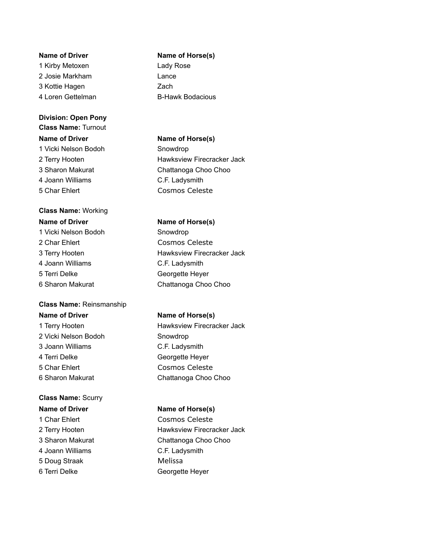1 Kirby Metoxen **Lady Rose** 2 Josie Markham Lance 3 Kottie Hagen Zach 4 Loren Gettelman B-Hawk Bodacious

### **Division: Open Pony**

**Class Name:** Turnout **Name of Driver Name of Horse(s)** 1 Vicki Nelson Bodoh Snowdrop 4 Joann Williams C.F. Ladysmith 5 Char Ehlert Cosmos Celeste

## **Class Name:** Working

1 Vicki Nelson Bodoh Snowdrop 2 Char Ehlert Cosmos Celeste 4 Joann Williams C.F. Ladysmith 5 Terri Delke Georgette Heyer

### **Class Name:** Reinsmanship

2 Vicki Nelson Bodoh Snowdrop 3 Joann Williams C.F. Ladysmith 4 Terri Delke Georgette Heyer 5 Char Ehlert Cosmos Celeste

### **Class Name:** Scurry

# 1 Char Ehlert Cosmos Celeste

4 Joann Williams C.F. Ladysmith 5 Doug Straak Melissa

### **Name of Driver Name of Horse(s)**

2 Terry Hooten **Hawksview Firecracker Jack** 3 Sharon Makurat Chattanoga Choo Choo

### **Name of Driver Name of Horse(s)**

3 Terry Hooten **Hawksview Firecracker Jack** 6 Sharon Makurat Chattanoga Choo Choo

### **Name of Driver Name of Horse(s)**

1 Terry Hooten **Hawksview Firecracker Jack** 6 Sharon Makurat Chattanoga Choo Choo

### **Name of Driver Name of Horse(s)**

2 Terry Hooten **Hawksview Firecracker Jack** 3 Sharon Makurat Chattanoga Choo Choo 6 Terri Delke Georgette Heyer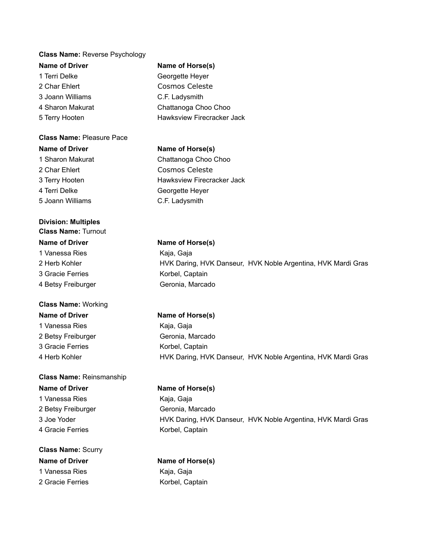### **Class Name:** Reverse Psychology

**Name of Driver Name of Horse(s)** 1 Terri Delke Georgette Heyer 2 Char Ehlert Cosmos Celeste 3 Joann Williams C.F. Ladysmith

**Class Name:** Pleasure Pace **Name of Driver Name of Horse(s)** 1 Sharon Makurat Chattanoga Choo Choo 2 Char Ehlert Cosmos Celeste 3 Terry Hooten **Hawksview Firecracker Jack** 4 Terri Delke Georgette Heyer 5 Joann Williams C.F. Ladysmith

### **Division: Multiples**

**Class Name:** Turnout **Name of Driver Name of Horse(s)** 1 Vanessa Ries Kaja, Gaja 3 Gracie Ferries **Korbel**, Captain 4 Betsy Freiburger Geronia, Marcado

## **Class Name:** Working **Name of Driver Name of Horse(s)**

2 Betsy Freiburger Geronia, Marcado 3 Gracie Ferries **Korbel**, Captain

## **Class Name:** Reinsmanship

1 Vanessa Ries **Kaja, Gaja** 2 Betsy Freiburger Geronia, Marcado 4 Gracie Ferries Korbel, Captain

## **Class Name:** Scurry **Name of Driver Name of Horse(s)** 1 Vanessa Ries **Kaja, Gaja**

4 Sharon Makurat Chattanoga Choo Choo 5 Terry Hooten **Hawksview Firecracker Jack** 

2 Herb Kohler **HYK Daring, HVK Danseur, HVK Noble Argentina, HVK Mardi Gras** 

# 1 Vanessa Ries Kaja, Gaja 4 Herb Kohler **HYK Daring, HVK Danseur, HVK Noble Argentina, HVK Mardi Gras**

### **Name of Driver Name of Horse(s)**

3 Joe Yoder HVK Daring, HVK Danseur, HVK Noble Argentina, HVK Mardi Gras

# 2 Gracie Ferries **Korbel**, Captain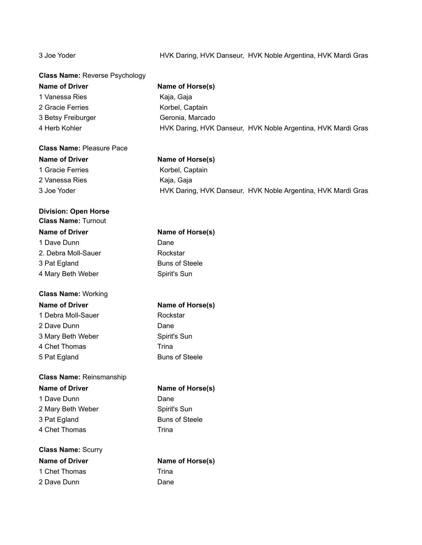### 3 Joe Yoder HVK Daring, HVK Danseur, HVK Noble Argentina, HVK Mardi Gras

| <b>Class Name: Reverse Psychology</b>                     |                                                              |
|-----------------------------------------------------------|--------------------------------------------------------------|
| <b>Name of Driver</b>                                     | Name of Horse(s)                                             |
| 1 Vanessa Ries                                            | Kaja, Gaja                                                   |
| 2 Gracie Ferries                                          | Korbel, Captain                                              |
| 3 Betsy Freiburger                                        | Geronia, Marcado                                             |
| 4 Herb Kohler                                             | HVK Daring, HVK Danseur, HVK Noble Argentina, HVK Mardi Gras |
| <b>Class Name: Pleasure Pace</b>                          |                                                              |
| <b>Name of Driver</b>                                     | Name of Horse(s)                                             |
| 1 Gracie Ferries                                          | Korbel, Captain                                              |
| 2 Vanessa Ries                                            | Kaja, Gaja                                                   |
| 3 Joe Yoder                                               | HVK Daring, HVK Danseur, HVK Noble Argentina, HVK Mardi Gras |
| <b>Division: Open Horse</b><br><b>Class Name: Turnout</b> |                                                              |
| <b>Name of Driver</b>                                     | Name of Horse(s)                                             |
| 1 Dave Dunn                                               | Dane                                                         |
| 2. Debra Moll-Sauer                                       | Rockstar                                                     |
| 3 Pat Egland                                              | <b>Buns of Steele</b>                                        |
| 4 Mary Beth Weber                                         | Spirit's Sun                                                 |
| <b>Class Name: Working</b>                                |                                                              |
| <b>Name of Driver</b>                                     | Name of Horse(s)                                             |
| 1 Debra Moll-Sauer                                        | Rockstar                                                     |
| 2 Dave Dunn                                               | Dane                                                         |
| 3 Mary Beth Weber                                         | Spirit's Sun                                                 |
| 4 Chet Thomas                                             | Trina                                                        |
| 5 Pat Egland                                              | <b>Buns of Steele</b>                                        |
| <b>Class Name: Reinsmanship</b>                           |                                                              |
| <b>Name of Driver</b>                                     | Name of Horse(s)                                             |
| 1 Dave Dunn                                               | Dane                                                         |
| 2 Mary Beth Weber                                         | Spirit's Sun                                                 |
| 3 Pat Egland                                              | <b>Buns of Steele</b>                                        |
| 4 Chet Thomas                                             | Trina                                                        |
| <b>Class Name: Scurry</b>                                 |                                                              |
| <b>Name of Driver</b>                                     | Name of Horse(s)                                             |
| 1 Chet Thomas                                             | Trina                                                        |
| 2 Dave Dunn                                               | Dane                                                         |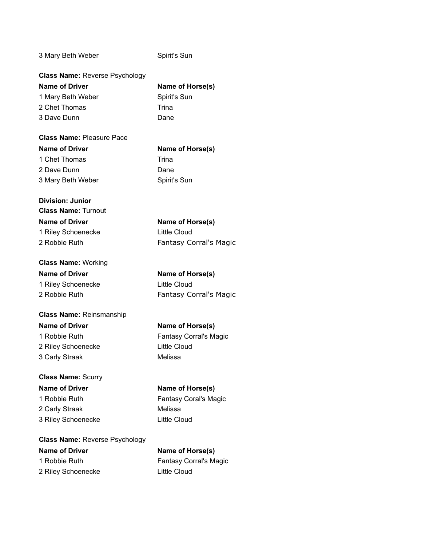3 Mary Beth Weber Spirit's Sun

| Name of Horse(s) |
|------------------|
| Spirit's Sun     |
| Trina            |
| Dane             |
|                  |

| <b>Class Name: Pleasure Pace</b> |              |
|----------------------------------|--------------|
| <b>Name of Driver</b>            | Name of Ho   |
| 1 Chet Thomas                    | Trina        |
| 2 Dave Dunn                      | Dane         |
| 3 Mary Beth Weber                | Spirit's Sun |

**Name of Horse(s) Trina** Dane

**Name of Horse(s)** 

Fantasy Corral's Magic

Little Cloud

### **Division: Junior Class Name:** Turnout **Name of Driver Name of Horse(s)** 1 Riley Schoenecke Little Cloud 2 Robbie Ruth Fantasy Corral's Magic

| <b>Class Name: Working</b> |  |  |
|----------------------------|--|--|
| <b>Name of Driver</b>      |  |  |
| 1 Riley Schoenecke         |  |  |
| 2 Robbie Ruth              |  |  |

### **Class Name:** Reinsmanship **Name of Driver Name of Horse(s)** 1 Robbie Ruth Fantasy Corral's Magic 2 Riley Schoenecke Little Cloud 3 Carly Straak Melissa

### **Class Name:** Scurry **Name of Driver Name of Horse(s)** 1 Robbie Ruth Fantasy Coral's Magic 2 Carly Straak Melissa 3 Riley Schoenecke Little Cloud

**Class Name:** Reverse Psychology **Name of Driver Name of Horse(s)** 1 Robbie Ruth Fantasy Corral's Magic

2 Riley Schoenecke Little Cloud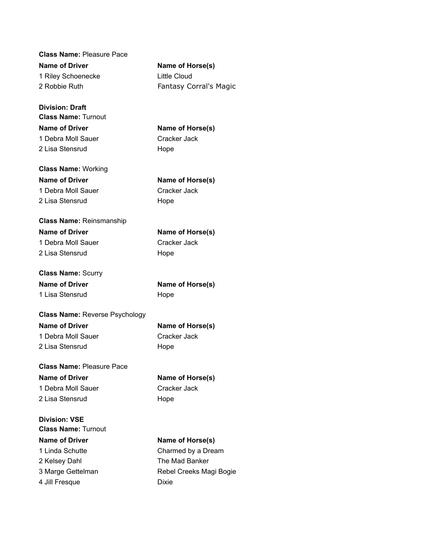**Class Name:** Pleasure Pace **Name of Driver Name of Horse(s)** 1 Riley Schoenecke Little Cloud 2 Robbie Ruth Fantasy Corral's Magic

**Division: Draft Class Name:** Turnout **Name of Driver Name of Horse(s)** 1 Debra Moll Sauer Cracker Jack 2 Lisa Stensrud Hope

**Class Name:** Working **Name of Driver Name of Horse(s)** 1 Debra Moll Sauer Cracker Jack 2 Lisa Stensrud Hope

**Class Name:** Reinsmanship **Name of Driver Name of Horse(s)** 1 Debra Moll Sauer Cracker Jack 2 Lisa Stensrud Hope

**Class Name:** Scurry **Name of Driver Name of Horse(s)** 1 Lisa Stensrud Hope

**Class Name:** Reverse Psychology

1 Debra Moll Sauer Cracker Jack 2 Lisa Stensrud Hope

**Division: VSE**

**Name of Driver Name of Horse(s)**

**Class Name:** Pleasure Pace **Name of Driver Name of Horse(s)** 1 Debra Moll Sauer Cracker Jack 2 Lisa Stensrud Hope

**Class Name:** Turnout **Name of Driver Name of Horse(s)** 1 Linda Schutte **Charmed by a Dream** 2 Kelsey Dahl The Mad Banker

3 Marge Gettelman Rebel Creeks Magi Bogie 4 Jill Fresque Dixie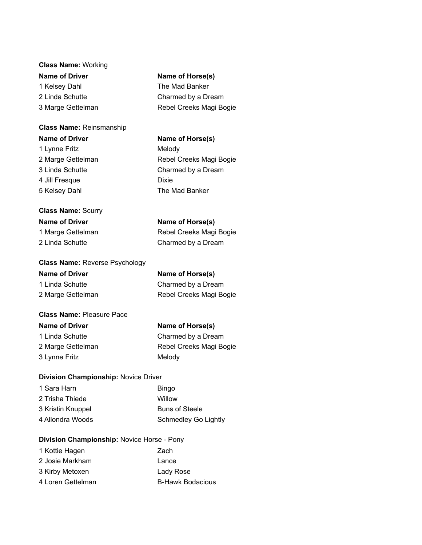### **Class Name:** Working **Name of Driver Name of Horse(s)** 1 Kelsey Dahl The Mad Banker 2 Linda Schutte Charmed by a Dream 3 Marge Gettelman Rebel Creeks Magi Bogie

### **Class Name:** Reinsmanship

1 Lynne Fritz Melody 4 Jill Fresque Dixie 5 Kelsey Dahl The Mad Banker

## **Class Name:** Scurry **Name of Driver Name of Horse(s)**

**Name of Driver Name of Horse(s)** 2 Marge Gettelman Rebel Creeks Magi Bogie 3 Linda Schutte Charmed by a Dream

1 Marge Gettelman Rebel Creeks Magi Bogie 2 Linda Schutte Charmed by a Dream

| <b>Class Name: Reverse Psychology</b> |
|---------------------------------------|
| <b>Name of Driver</b>                 |
| 1 Linda Schutte                       |
| 2 Marge Gettelman                     |

### **Class Name:** Pleasure Pace

3 Lynne Fritz Melody

**Name of Driver Name of Horse(s)**

**Name of Horse(s)** Charmed by a Dream Rebel Creeks Magi Bogie

1 Linda Schutte Charmed by a Dream 2 Marge Gettelman Rebel Creeks Magi Bogie

### **Division Championship:** Novice Driver

1 Sara Harn Bingo 2 Trisha Thiede Willow 3 Kristin Knuppel Buns of Steele 4 Allondra Woods Schmedley Go Lightly

### **Division Championship:** Novice Horse - Pony

| 1 Kottie Hagen    | Zach                    |
|-------------------|-------------------------|
| 2 Josie Markham   | Lance                   |
| 3 Kirby Metoxen   | Lady Rose               |
| 4 Loren Gettelman | <b>B-Hawk Bodacious</b> |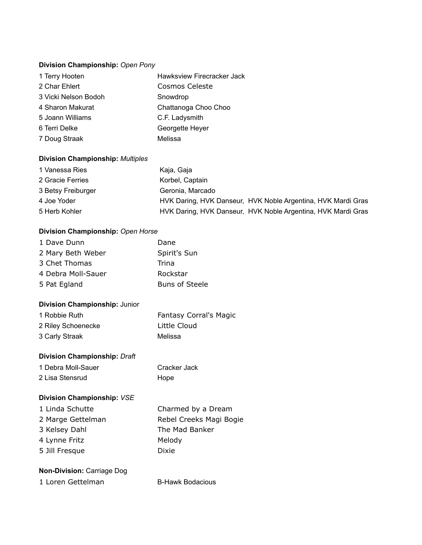### **Division Championship:** *Open Pony*

| 1 Terry Hooten       | Hawksview Firecracker Jack |
|----------------------|----------------------------|
| 2 Char Ehlert        | <b>Cosmos Celeste</b>      |
| 3 Vicki Nelson Bodoh | Snowdrop                   |
| 4 Sharon Makurat     | Chattanoga Choo Choo       |
| 5 Joann Williams     | C.F. Ladysmith             |
| 6 Terri Delke        | Georgette Heyer            |
| 7 Doug Straak        | Melissa                    |

### **Division Championship:** *Multiples*

| 1 Vanessa Ries     | Kaja, Gaja                                                   |
|--------------------|--------------------------------------------------------------|
| 2 Gracie Ferries   | Korbel, Captain                                              |
| 3 Betsy Freiburger | Geronia, Marcado                                             |
| 4 Joe Yoder        | HVK Daring, HVK Danseur, HVK Noble Argentina, HVK Mardi Gras |
| 5 Herb Kohler      | HVK Daring, HVK Danseur, HVK Noble Argentina, HVK Mardi Gras |

### **Division Championship:** *Open Horse*

| 1 Dave Dunn                         | Dane                          |
|-------------------------------------|-------------------------------|
| 2 Mary Beth Weber                   | Spirit's Sun                  |
| 3 Chet Thomas                       | Trina                         |
| 4 Debra Moll-Sauer                  | Rockstar                      |
| 5 Pat Egland                        | <b>Buns of Steele</b>         |
| Division Championship: Junior       |                               |
| 1 Robbie Ruth                       | <b>Fantasy Corral's Magic</b> |
| 2 Riley Schoenecke                  | Little Cloud                  |
| 3 Carly Straak                      | Melissa                       |
| <b>Division Championship: Draft</b> |                               |
| 1 Debra Moll-Sauer                  | Cracker Jack                  |
| 2 Lisa Stensrud                     | Hope                          |
| Division Championship: VSE          |                               |
| 1 Linda Schutte                     | Charmed by a Dream            |
| 2 Marge Gettelman                   | Rebel Creeks Magi Bogie       |
| 3 Kelsey Dahl                       | The Mad Banker                |
| 4 Lynne Fritz                       | Melody                        |
| 5 Jill Fresque                      | Dixie                         |
| <b>Non-Division: Carriage Dog</b>   |                               |
| 1 Loren Gettelman                   | <b>B-Hawk Bodacious</b>       |
|                                     |                               |